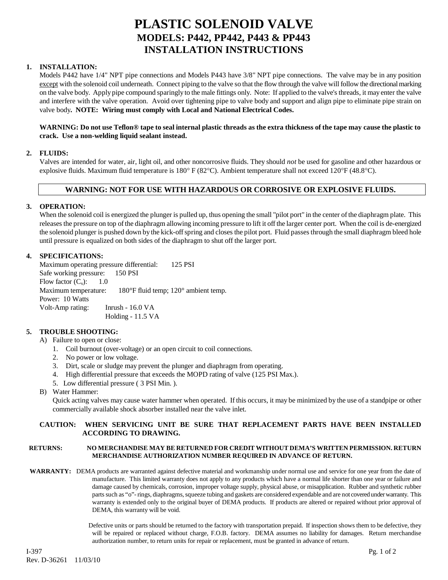## **PLASTIC SOLENOID VALVE MODELS: P442, PP442, P443 & PP443 INSTALLATION INSTRUCTIONS**

#### **1. INSTALLATION:**

Models P442 have 1/4" NPT pipe connections and Models P443 have 3/8" NPT pipe connections. The valve may be in any position except with the solenoid coil underneath. Connect piping to the valve so that the flow through the valve will follow the directional marking on the valve body. Apply pipe compound sparingly to the male fittings only. Note: If applied to the valve's threads, it may enter the valve and interfere with the valve operation. Avoid over tightening pipe to valve body and support and align pipe to eliminate pipe strain on valve body**. NOTE: Wiring must comply with Local and National Electrical Codes.**

#### **WARNING: Do not use Teflon® tape to seal internal plastic threads as the extra thickness of the tape may cause the plastic to crack. Use a non-welding liquid sealant instead.**

#### **2. FLUIDS:**

Valves are intended for water, air, light oil, and other noncorrosive fluids. They should *not* be used for gasoline and other hazardous or explosive fluids. Maximum fluid temperature is  $180^\circ$  F (82 $^\circ$ C). Ambient temperature shall not exceed 120 $^\circ$ F (48.8 $^\circ$ C).

## **WARNING: NOT FOR USE WITH HAZARDOUS OR CORROSIVE OR EXPLOSIVE FLUIDS.**

#### **3. OPERATION:**

When the solenoid coil is energized the plunger is pulled up, thus opening the small "pilot port" in the center of the diaphragm plate. This releases the pressure on top of the diaphragm allowing incoming pressure to lift it off the larger center port. When the coil is de-energized the solenoid plunger is pushed down by the kick-off spring and closes the pilot port. Fluid passes through the small diaphragm bleed hole until pressure is equalized on both sides of the diaphragm to shut off the larger port.

#### **4. SPECIFICATIONS:**

Maximum operating pressure differential: 125 PSI Safe working pressure: 150 PSI Flow factor  $(C_v)$ : 1.0 Maximum temperature: 180°F fluid temp; 120° ambient temp. Power: 10 Watts Volt-Amp rating: Inrush - 16.0 VA Holding - 11.5 VA

#### **5. TROUBLE SHOOTING:**

- A) Failure to open or close:
	- 1. Coil burnout (over-voltage) or an open circuit to coil connections.
	- 2. No power or low voltage.
	- 3. Dirt, scale or sludge may prevent the plunger and diaphragm from operating.
	- 4. High differential pressure that exceeds the MOPD rating of valve (125 PSI Max.).
	- 5. Low differential pressure ( 3 PSI Min. ).
- B) Water Hammer:

Quick acting valves may cause water hammer when operated. If this occurs, it may be minimized by the use of a standpipe or other commercially available shock absorber installed near the valve inlet.

#### **CAUTION: WHEN SERVICING UNIT BE SURE THAT REPLACEMENT PARTS HAVE BEEN INSTALLED ACCORDING TO DRAWING.**

#### **RETURNS: NO MERCHANDISE MAY BE RETURNED FOR CREDIT WITHOUT DEMA'S WRITTEN PERMISSION. RETURN MERCHANDISE AUTHORIZATION NUMBER REQUIRED IN ADVANCE OF RETURN.**

**WARRANTY:** DEMA products are warranted against defective material and workmanship under normal use and service for one year from the date of manufacture. This limited warranty does not apply to any products which have a normal life shorter than one year or failure and damage caused by chemicals, corrosion, improper voltage supply, physical abuse, or misapplication. Rubber and synthetic rubber parts such as "o"- rings, diaphragms, squeeze tubing and gaskets are considered expendable and are not covered under warranty. This warranty is extended only to the original buyer of DEMA products. If products are altered or repaired without prior approval of DEMA, this warranty will be void.

> Defective units or parts should be returned to the factory with transportation prepaid. If inspection shows them to be defective, they will be repaired or replaced without charge, F.O.B. factory. DEMA assumes no liability for damages. Return merchandise authorization number, to return units for repair or replacement, must be granted in advance of return.